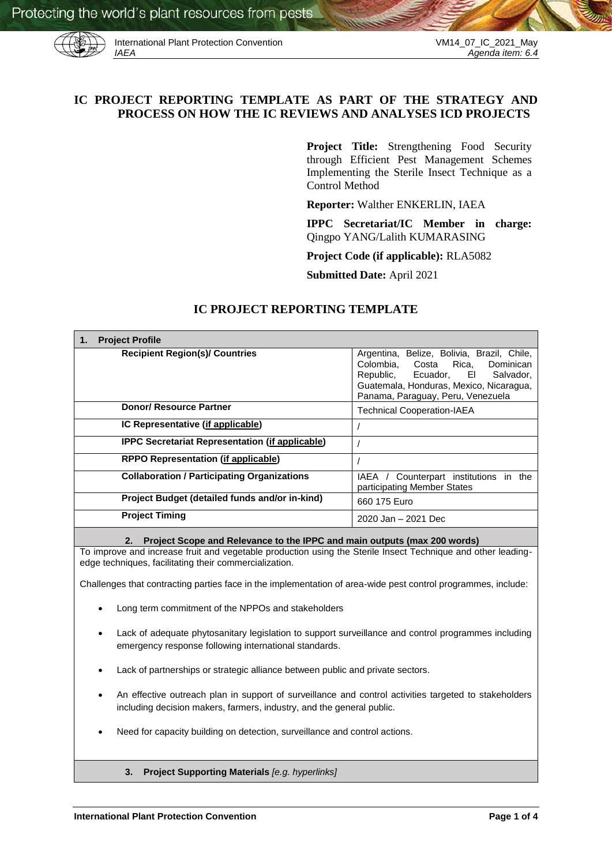

International Plant Protection Convention VM14\_07\_IC\_2021\_May<br>IAEA Agenda item: 6.4

# **IC PROJECT REPORTING TEMPLATE AS PART OF THE STRATEGY AND PROCESS ON HOW THE IC REVIEWS AND ANALYSES ICD PROJECTS**

**Project Title:** Strengthening Food Security through Efficient Pest Management Schemes Implementing the Sterile Insect Technique as a Control Method

**Reporter:** Walther ENKERLIN, IAEA

**IPPC Secretariat/IC Member in charge:**  Qingpo YANG/Lalith KUMARASING

**Project Code (if applicable):** RLA5082

**Submitted Date:** April 2021

## **IC PROJECT REPORTING TEMPLATE**

| <b>Project Profile</b><br>1.                           |                                                                                                                                                                                                     |
|--------------------------------------------------------|-----------------------------------------------------------------------------------------------------------------------------------------------------------------------------------------------------|
| <b>Recipient Region(s)/ Countries</b>                  | Argentina, Belize, Bolivia, Brazil, Chile,<br>Colombia, Costa Rica,<br>Dominican<br>Republic, Ecuador, El Salvador,<br>Guatemala, Honduras, Mexico, Nicaragua,<br>Panama, Paraguay, Peru, Venezuela |
| Donor/ Resource Partner                                | <b>Technical Cooperation-IAEA</b>                                                                                                                                                                   |
| IC Representative (if applicable)                      |                                                                                                                                                                                                     |
| <b>IPPC Secretariat Representation (if applicable)</b> |                                                                                                                                                                                                     |
| <b>RPPO Representation (if applicable)</b>             |                                                                                                                                                                                                     |
| <b>Collaboration / Participating Organizations</b>     | Counterpart institutions in the<br>IAEA /<br>participating Member States                                                                                                                            |
| Project Budget (detailed funds and/or in-kind)         | 660 175 Euro                                                                                                                                                                                        |
| <b>Project Timing</b>                                  | 2020 Jan - 2021 Dec                                                                                                                                                                                 |
|                                                        |                                                                                                                                                                                                     |

**2. Project Scope and Relevance to the IPPC and main outputs (max 200 words)**

To improve and increase fruit and vegetable production using the Sterile Insect Technique and other leadingedge techniques, facilitating their commercialization.

Challenges that contracting parties face in the implementation of area-wide pest control programmes, include:

- Long term commitment of the NPPOs and stakeholders
- Lack of adequate phytosanitary legislation to support surveillance and control programmes including emergency response following international standards.
- Lack of partnerships or strategic alliance between public and private sectors.
- An effective outreach plan in support of surveillance and control activities targeted to stakeholders including decision makers, farmers, industry, and the general public.
- Need for capacity building on detection, surveillance and control actions.
	- **3. Project Supporting Materials** *[e.g. hyperlinks]*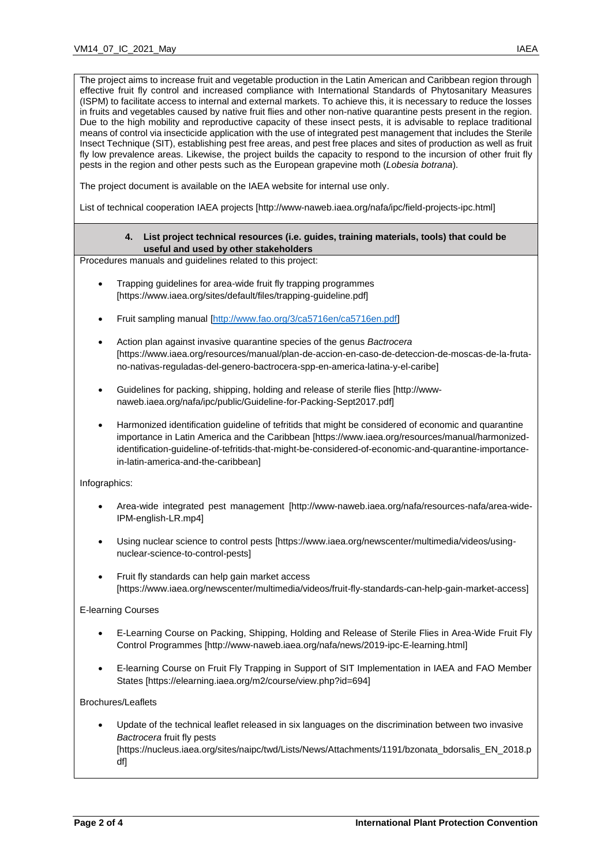The project aims to increase fruit and vegetable production in the Latin American and Caribbean region through effective fruit fly control and increased compliance with International Standards of Phytosanitary Measures (ISPM) to facilitate access to internal and external markets. To achieve this, it is necessary to reduce the losses in fruits and vegetables caused by native fruit flies and other non-native quarantine pests present in the region. Due to the high mobility and reproductive capacity of these insect pests, it is advisable to replace traditional means of control via insecticide application with the use of integrated pest management that includes the Sterile Insect Technique (SIT), establishing pest free areas, and pest free places and sites of production as well as fruit fly low prevalence areas. Likewise, the project builds the capacity to respond to the incursion of other fruit fly pests in the region and other pests such as the European grapevine moth (*Lobesia botrana*).

The project document is available on the IAEA website for internal use only.

List of technical cooperation IAEA projects [http://www-naweb.iaea.org/nafa/ipc/field-projects-ipc.html]

### **4. List project technical resources (i.e. guides, training materials, tools) that could be useful and used by other stakeholders**

Procedures manuals and guidelines related to this project:

- Trapping guidelines for area-wide fruit fly trapping programmes [https://www.iaea.org/sites/default/files/trapping-guideline.pdf]
- Fruit sampling manual [\[http://www.fao.org/3/ca5716en/ca5716en.pdf\]](http://www.fao.org/3/ca5716en/ca5716en.pdf)
- Action plan against invasive quarantine species of the genus *Bactrocera* [https://www.iaea.org/resources/manual/plan-de-accion-en-caso-de-deteccion-de-moscas-de-la-frutano-nativas-reguladas-del-genero-bactrocera-spp-en-america-latina-y-el-caribe]
- Guidelines for packing, shipping, holding and release of sterile flies [http://wwwnaweb.iaea.org/nafa/ipc/public/Guideline-for-Packing-Sept2017.pdf]
- Harmonized identification guideline of tefritids that might be considered of economic and quarantine importance in Latin America and the Caribbean [https://www.iaea.org/resources/manual/harmonizedidentification-guideline-of-tefritids-that-might-be-considered-of-economic-and-quarantine-importancein-latin-america-and-the-caribbean]

Infographics:

- Area-wide integrated pest management [http://www-naweb.iaea.org/nafa/resources-nafa/area-wide-IPM-english-LR.mp4]
- Using nuclear science to control pests [https://www.iaea.org/newscenter/multimedia/videos/usingnuclear-science-to-control-pests]
- Fruit fly standards can help gain market access [https://www.iaea.org/newscenter/multimedia/videos/fruit-fly-standards-can-help-gain-market-access]

### E-learning Courses

- E-Learning Course on Packing, Shipping, Holding and Release of Sterile Flies in Area-Wide Fruit Fly Control Programmes [http://www-naweb.iaea.org/nafa/news/2019-ipc-E-learning.html]
- E-learning Course on Fruit Fly Trapping in Support of SIT Implementation in IAEA and FAO Member States [https://elearning.iaea.org/m2/course/view.php?id=694]

### Brochures/Leaflets

 Update of the technical leaflet released in six languages on the discrimination between two invasive *Bactrocera* fruit fly pests [https://nucleus.iaea.org/sites/naipc/twd/Lists/News/Attachments/1191/bzonata\_bdorsalis\_EN\_2018.p df]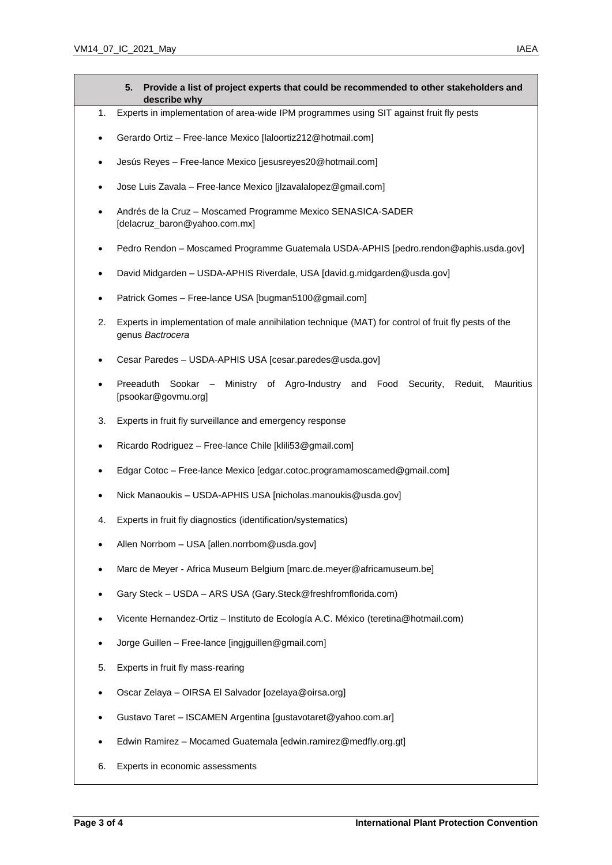- **5. Provide a list of project experts that could be recommended to other stakeholders and describe why**
- 1. Experts in implementation of area-wide IPM programmes using SIT against fruit fly pests
- Gerardo Ortiz Free-lance Mexico [laloortiz212@hotmail.com]
- Jesús Reyes Free-lance Mexico [jesusreyes20@hotmail.com]
- Jose Luis Zavala Free-lance Mexico [jlzavalalopez@gmail.com]
- Andrés de la Cruz Moscamed Programme Mexico SENASICA-SADER [delacruz\_baron@yahoo.com.mx]
- Pedro Rendon Moscamed Programme Guatemala USDA-APHIS [pedro.rendon@aphis.usda.gov]
- David Midgarden USDA-APHIS Riverdale, USA [david.g.midgarden@usda.gov]
- Patrick Gomes Free-lance USA [bugman5100@gmail.com]
- 2. Experts in implementation of male annihilation technique (MAT) for control of fruit fly pests of the genus *Bactrocera*
- Cesar Paredes USDA-APHIS USA [cesar.paredes@usda.gov]
- Preeaduth Sookar Ministry of Agro-Industry and Food Security, Reduit, Mauritius [psookar@govmu.org]
- 3. Experts in fruit fly surveillance and emergency response
- Ricardo Rodriguez Free-lance Chile [klili53@gmail.com]
- Edgar Cotoc Free-lance Mexico [edgar.cotoc.programamoscamed@gmail.com]
- Nick Manaoukis USDA-APHIS USA [nicholas.manoukis@usda.gov]
- 4. Experts in fruit fly diagnostics (identification/systematics)
- Allen Norrbom USA [allen.norrbom@usda.gov]
- Marc de Meyer Africa Museum Belgium [marc.de.meyer@africamuseum.be]
- Gary Steck USDA ARS USA (Gary.Steck@freshfromflorida.com)
- Vicente Hernandez-Ortiz Instituto de Ecología A.C. México (teretina@hotmail.com)
- Jorge Guillen Free-lance [ingjguillen@gmail.com]
- 5. Experts in fruit fly mass-rearing
- Oscar Zelaya OIRSA El Salvador [ozelaya@oirsa.org]
- Gustavo Taret ISCAMEN Argentina [gustavotaret@yahoo.com.ar]
- Edwin Ramirez Mocamed Guatemala [edwin.ramirez@medfly.org.gt]
- 6. Experts in economic assessments